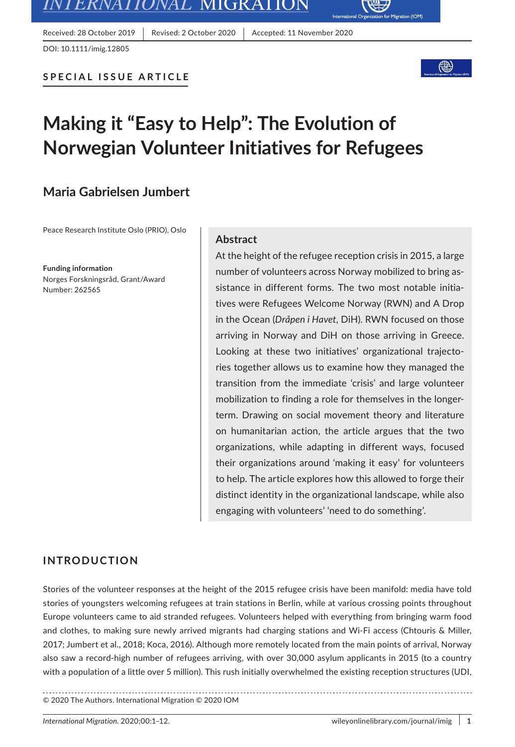

Received: 28 October 2019 | Revised: 2 October 2020 | Accepted: 11 November 2020



Migration (IOM)

# **Making it "Easy to Help": The Evolution of Norwegian Volunteer Initiatives for Refugees**

# **Maria Gabrielsen Jumbert**

Peace Research Institute Oslo (PRIO), Oslo

**Funding information** Norges Forskningsråd, Grant/Award Number: 262565

### **Abstract**

At the height of the refugee reception crisis in 2015, a large number of volunteers across Norway mobilized to bring assistance in different forms. The two most notable initiatives were Refugees Welcome Norway (RWN) and A Drop in the Ocean (*Dråpen i Havet*, DiH). RWN focused on those arriving in Norway and DiH on those arriving in Greece. Looking at these two initiatives' organizational trajectories together allows us to examine how they managed the transition from the immediate 'crisis' and large volunteer mobilization to finding a role for themselves in the longerterm. Drawing on social movement theory and literature on humanitarian action, the article argues that the two organizations, while adapting in different ways, focused their organizations around 'making it easy' for volunteers to help. The article explores how this allowed to forge their distinct identity in the organizational landscape, while also engaging with volunteers' 'need to do something'.

### **INTRODUCTION**

Stories of the volunteer responses at the height of the 2015 refugee crisis have been manifold: media have told stories of youngsters welcoming refugees at train stations in Berlin, while at various crossing points throughout Europe volunteers came to aid stranded refugees. Volunteers helped with everything from bringing warm food and clothes, to making sure newly arrived migrants had charging stations and Wi-Fi access (Chtouris & Miller, 2017; Jumbert et al., 2018; Koca, 2016). Although more remotely located from the main points of arrival, Norway also saw a record-high number of refugees arriving, with over 30,000 asylum applicants in 2015 (to a country with a population of a little over 5 million). This rush initially overwhelmed the existing reception structures (UDI,

© 2020 The Authors. International Migration © 2020 IOM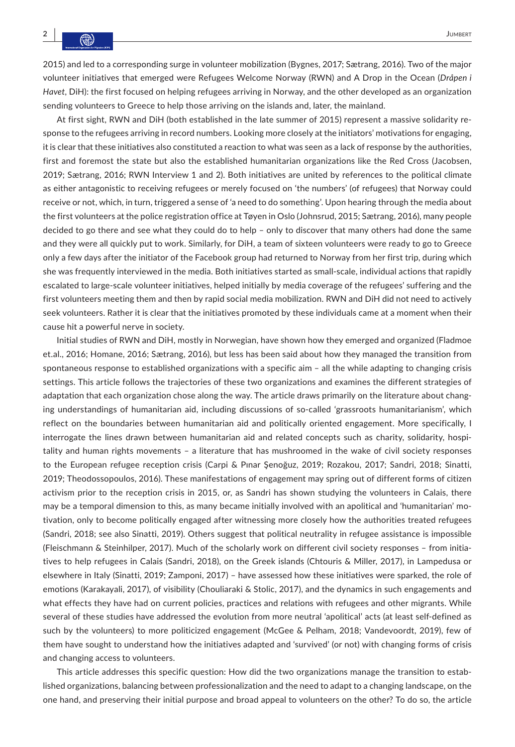2015) and led to a corresponding surge in volunteer mobilization (Bygnes, 2017; Sætrang, 2016). Two of the major volunteer initiatives that emerged were Refugees Welcome Norway (RWN) and A Drop in the Ocean (*Dråpen i Havet*, DiH): the first focused on helping refugees arriving in Norway, and the other developed as an organization sending volunteers to Greece to help those arriving on the islands and, later, the mainland.

At first sight, RWN and DiH (both established in the late summer of 2015) represent a massive solidarity response to the refugees arriving in record numbers. Looking more closely at the initiators' motivations for engaging, it is clear that these initiatives also constituted a reaction to what was seen as a lack of response by the authorities, first and foremost the state but also the established humanitarian organizations like the Red Cross (Jacobsen, 2019; Sætrang, 2016; RWN Interview 1 and 2). Both initiatives are united by references to the political climate as either antagonistic to receiving refugees or merely focused on 'the numbers' (of refugees) that Norway could receive or not, which, in turn, triggered a sense of 'a need to do something'. Upon hearing through the media about the first volunteers at the police registration office at Tøyen in Oslo (Johnsrud, 2015; Sætrang, 2016), many people decided to go there and see what they could do to help – only to discover that many others had done the same and they were all quickly put to work. Similarly, for DiH, a team of sixteen volunteers were ready to go to Greece only a few days after the initiator of the Facebook group had returned to Norway from her first trip, during which she was frequently interviewed in the media. Both initiatives started as small-scale, individual actions that rapidly escalated to large-scale volunteer initiatives, helped initially by media coverage of the refugees' suffering and the first volunteers meeting them and then by rapid social media mobilization. RWN and DiH did not need to actively seek volunteers. Rather it is clear that the initiatives promoted by these individuals came at a moment when their cause hit a powerful nerve in society.

Initial studies of RWN and DiH, mostly in Norwegian, have shown how they emerged and organized (Fladmoe et.al., 2016; Homane, 2016; Sætrang, 2016), but less has been said about how they managed the transition from spontaneous response to established organizations with a specific aim – all the while adapting to changing crisis settings. This article follows the trajectories of these two organizations and examines the different strategies of adaptation that each organization chose along the way. The article draws primarily on the literature about changing understandings of humanitarian aid, including discussions of so-called 'grassroots humanitarianism', which reflect on the boundaries between humanitarian aid and politically oriented engagement. More specifically, I interrogate the lines drawn between humanitarian aid and related concepts such as charity, solidarity, hospitality and human rights movements – a literature that has mushroomed in the wake of civil society responses to the European refugee reception crisis (Carpi & Pınar Şenoğuz, 2019; Rozakou, 2017; Sandri, 2018; Sinatti, 2019; Theodossopoulos, 2016). These manifestations of engagement may spring out of different forms of citizen activism prior to the reception crisis in 2015, or, as Sandri has shown studying the volunteers in Calais, there may be a temporal dimension to this, as many became initially involved with an apolitical and 'humanitarian' motivation, only to become politically engaged after witnessing more closely how the authorities treated refugees (Sandri, 2018; see also Sinatti, 2019). Others suggest that political neutrality in refugee assistance is impossible (Fleischmann & Steinhilper, 2017). Much of the scholarly work on different civil society responses – from initiatives to help refugees in Calais (Sandri, 2018), on the Greek islands (Chtouris & Miller, 2017), in Lampedusa or elsewhere in Italy (Sinatti, 2019; Zamponi, 2017) – have assessed how these initiatives were sparked, the role of emotions (Karakayali, 2017), of visibility (Chouliaraki & Stolic, 2017), and the dynamics in such engagements and what effects they have had on current policies, practices and relations with refugees and other migrants. While several of these studies have addressed the evolution from more neutral 'apolitical' acts (at least self-defined as such by the volunteers) to more politicized engagement (McGee & Pelham, 2018; Vandevoordt, 2019), few of them have sought to understand how the initiatives adapted and 'survived' (or not) with changing forms of crisis and changing access to volunteers.

This article addresses this specific question: How did the two organizations manage the transition to established organizations, balancing between professionalization and the need to adapt to a changing landscape, on the one hand, and preserving their initial purpose and broad appeal to volunteers on the other? To do so, the article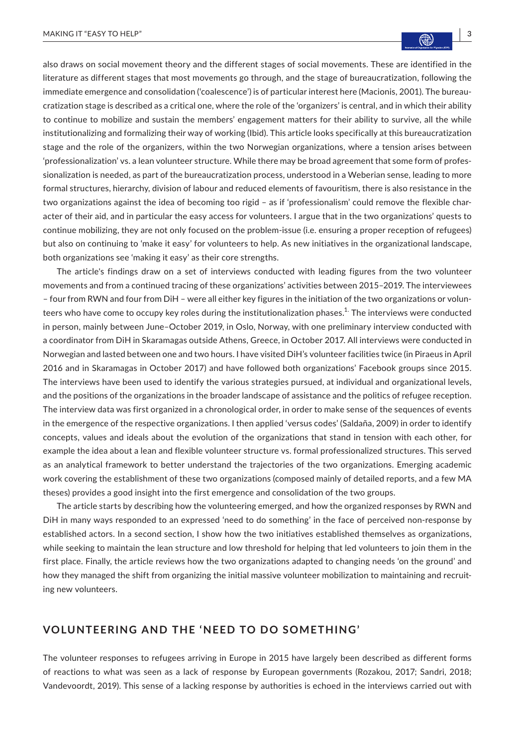also draws on social movement theory and the different stages of social movements. These are identified in the literature as different stages that most movements go through, and the stage of bureaucratization, following the immediate emergence and consolidation ('coalescence') is of particular interest here (Macionis, 2001). The bureaucratization stage is described as a critical one, where the role of the 'organizers' is central, and in which their ability to continue to mobilize and sustain the members' engagement matters for their ability to survive, all the while institutionalizing and formalizing their way of working (Ibid). This article looks specifically at this bureaucratization stage and the role of the organizers, within the two Norwegian organizations, where a tension arises between 'professionalization' vs. a lean volunteer structure. While there may be broad agreement that some form of professionalization is needed, as part of the bureaucratization process, understood in a Weberian sense, leading to more formal structures, hierarchy, division of labour and reduced elements of favouritism, there is also resistance in the two organizations against the idea of becoming too rigid – as if 'professionalism' could remove the flexible character of their aid, and in particular the easy access for volunteers. I argue that in the two organizations' quests to continue mobilizing, they are not only focused on the problem-issue (i.e. ensuring a proper reception of refugees) but also on continuing to 'make it easy' for volunteers to help. As new initiatives in the organizational landscape, both organizations see 'making it easy' as their core strengths.

The article's findings draw on a set of interviews conducted with leading figures from the two volunteer movements and from a continued tracing of these organizations' activities between 2015–2019. The interviewees – four from RWN and four from DiH – were all either key figures in the initiation of the two organizations or volunteers who have come to occupy key roles during the institutionalization phases.<sup>1.</sup> The interviews were conducted in person, mainly between June–October 2019, in Oslo, Norway, with one preliminary interview conducted with a coordinator from DiH in Skaramagas outside Athens, Greece, in October 2017. All interviews were conducted in Norwegian and lasted between one and two hours. I have visited DiH's volunteer facilities twice (in Piraeus in April 2016 and in Skaramagas in October 2017) and have followed both organizations' Facebook groups since 2015. The interviews have been used to identify the various strategies pursued, at individual and organizational levels, and the positions of the organizations in the broader landscape of assistance and the politics of refugee reception. The interview data was first organized in a chronological order, in order to make sense of the sequences of events in the emergence of the respective organizations. I then applied 'versus codes' (Saldaña, 2009) in order to identify concepts, values and ideals about the evolution of the organizations that stand in tension with each other, for example the idea about a lean and flexible volunteer structure vs. formal professionalized structures. This served as an analytical framework to better understand the trajectories of the two organizations. Emerging academic work covering the establishment of these two organizations (composed mainly of detailed reports, and a few MA theses) provides a good insight into the first emergence and consolidation of the two groups.

The article starts by describing how the volunteering emerged, and how the organized responses by RWN and DiH in many ways responded to an expressed 'need to do something' in the face of perceived non-response by established actors. In a second section, I show how the two initiatives established themselves as organizations, while seeking to maintain the lean structure and low threshold for helping that led volunteers to join them in the first place. Finally, the article reviews how the two organizations adapted to changing needs 'on the ground' and how they managed the shift from organizing the initial massive volunteer mobilization to maintaining and recruiting new volunteers.

## **VOLUNTEERING AND THE 'NEED TO DO SOMETHING'**

The volunteer responses to refugees arriving in Europe in 2015 have largely been described as different forms of reactions to what was seen as a lack of response by European governments (Rozakou, 2017; Sandri, 2018; Vandevoordt, 2019). This sense of a lacking response by authorities is echoed in the interviews carried out with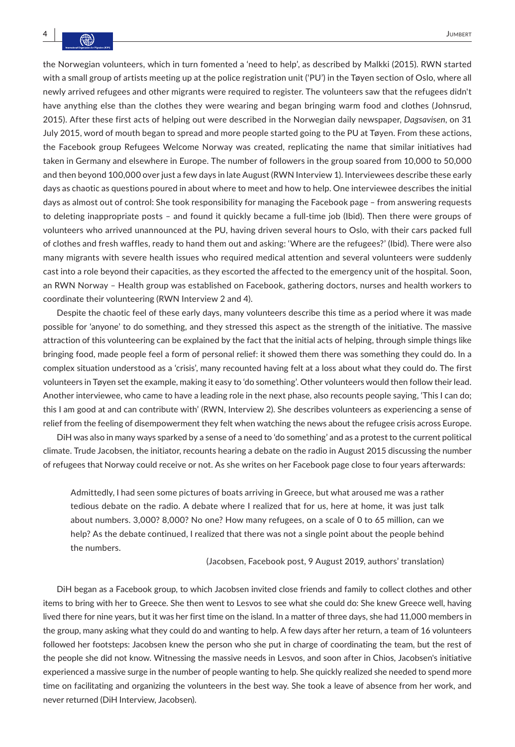the Norwegian volunteers, which in turn fomented a 'need to help', as described by Malkki (2015). RWN started with a small group of artists meeting up at the police registration unit ('PU') in the Tøyen section of Oslo, where all newly arrived refugees and other migrants were required to register. The volunteers saw that the refugees didn't have anything else than the clothes they were wearing and began bringing warm food and clothes (Johnsrud, 2015). After these first acts of helping out were described in the Norwegian daily newspaper, *Dagsavisen*, on 31 July 2015, word of mouth began to spread and more people started going to the PU at Tøyen. From these actions, the Facebook group Refugees Welcome Norway was created, replicating the name that similar initiatives had taken in Germany and elsewhere in Europe. The number of followers in the group soared from 10,000 to 50,000 and then beyond 100,000 over just a few days in late August (RWN Interview 1). Interviewees describe these early days as chaotic as questions poured in about where to meet and how to help. One interviewee describes the initial days as almost out of control: She took responsibility for managing the Facebook page – from answering requests to deleting inappropriate posts – and found it quickly became a full-time job (Ibid). Then there were groups of volunteers who arrived unannounced at the PU, having driven several hours to Oslo, with their cars packed full of clothes and fresh waffles, ready to hand them out and asking: 'Where are the refugees?' (Ibid). There were also many migrants with severe health issues who required medical attention and several volunteers were suddenly cast into a role beyond their capacities, as they escorted the affected to the emergency unit of the hospital. Soon, an RWN Norway – Health group was established on Facebook, gathering doctors, nurses and health workers to coordinate their volunteering (RWN Interview 2 and 4).

Despite the chaotic feel of these early days, many volunteers describe this time as a period where it was made possible for 'anyone' to do something, and they stressed this aspect as the strength of the initiative. The massive attraction of this volunteering can be explained by the fact that the initial acts of helping, through simple things like bringing food, made people feel a form of personal relief: it showed them there was something they could do. In a complex situation understood as a 'crisis', many recounted having felt at a loss about what they could do. The first volunteers in Tøyen set the example, making it easy to 'do something'. Other volunteers would then follow their lead. Another interviewee, who came to have a leading role in the next phase, also recounts people saying, 'This I can do; this I am good at and can contribute with' (RWN, Interview 2). She describes volunteers as experiencing a sense of relief from the feeling of disempowerment they felt when watching the news about the refugee crisis across Europe.

DiH was also in many ways sparked by a sense of a need to 'do something' and as a protest to the current political climate. Trude Jacobsen, the initiator, recounts hearing a debate on the radio in August 2015 discussing the number of refugees that Norway could receive or not. As she writes on her Facebook page close to four years afterwards:

Admittedly, I had seen some pictures of boats arriving in Greece, but what aroused me was a rather tedious debate on the radio. A debate where I realized that for us, here at home, it was just talk about numbers. 3,000? 8,000? No one? How many refugees, on a scale of 0 to 65 million, can we help? As the debate continued, I realized that there was not a single point about the people behind the numbers.

(Jacobsen, Facebook post, 9 August 2019, authors' translation)

DiH began as a Facebook group, to which Jacobsen invited close friends and family to collect clothes and other items to bring with her to Greece. She then went to Lesvos to see what she could do: She knew Greece well, having lived there for nine years, but it was her first time on the island. In a matter of three days, she had 11,000 members in the group, many asking what they could do and wanting to help. A few days after her return, a team of 16 volunteers followed her footsteps: Jacobsen knew the person who she put in charge of coordinating the team, but the rest of the people she did not know. Witnessing the massive needs in Lesvos, and soon after in Chios, Jacobsen's initiative experienced a massive surge in the number of people wanting to help. She quickly realized she needed to spend more time on facilitating and organizing the volunteers in the best way. She took a leave of absence from her work, and never returned (DiH Interview, Jacobsen).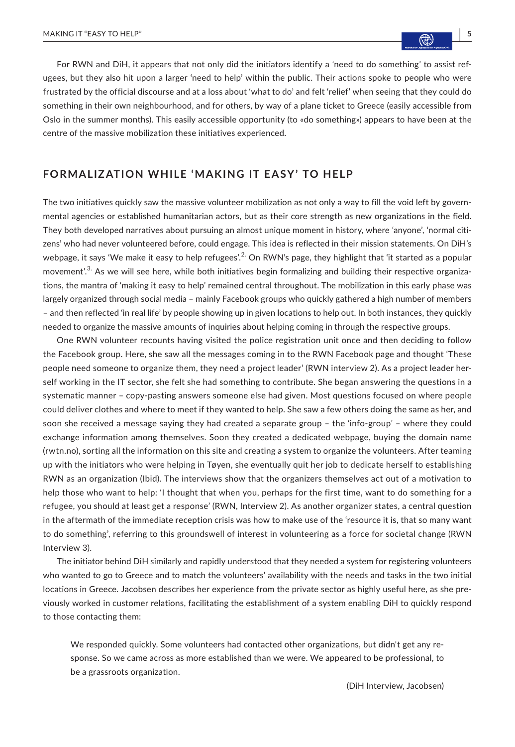For RWN and DiH, it appears that not only did the initiators identify a 'need to do something' to assist refugees, but they also hit upon a larger 'need to help' within the public. Their actions spoke to people who were frustrated by the official discourse and at a loss about 'what to do' and felt 'relief' when seeing that they could do something in their own neighbourhood, and for others, by way of a plane ticket to Greece (easily accessible from Oslo in the summer months). This easily accessible opportunity (to «do something») appears to have been at the centre of the massive mobilization these initiatives experienced.

# **FORMALIZATION WHILE 'MAKING IT EASY' TO HELP**

The two initiatives quickly saw the massive volunteer mobilization as not only a way to fill the void left by governmental agencies or established humanitarian actors, but as their core strength as new organizations in the field. They both developed narratives about pursuing an almost unique moment in history, where 'anyone', 'normal citizens' who had never volunteered before, could engage. This idea is reflected in their mission statements. On DiH's webpage, it says 'We make it easy to help refugees'.<sup>2.</sup> On RWN's page, they highlight that 'it started as a popular movement'.<sup>3.</sup> As we will see here, while both initiatives begin formalizing and building their respective organizations, the mantra of 'making it easy to help' remained central throughout. The mobilization in this early phase was largely organized through social media – mainly Facebook groups who quickly gathered a high number of members – and then reflected 'in real life' by people showing up in given locations to help out. In both instances, they quickly needed to organize the massive amounts of inquiries about helping coming in through the respective groups.

One RWN volunteer recounts having visited the police registration unit once and then deciding to follow the Facebook group. Here, she saw all the messages coming in to the RWN Facebook page and thought 'These people need someone to organize them, they need a project leader' (RWN interview 2). As a project leader herself working in the IT sector, she felt she had something to contribute. She began answering the questions in a systematic manner – copy-pasting answers someone else had given. Most questions focused on where people could deliver clothes and where to meet if they wanted to help. She saw a few others doing the same as her, and soon she received a message saying they had created a separate group – the 'info-group' – where they could exchange information among themselves. Soon they created a dedicated webpage, buying the domain name (rwtn.no), sorting all the information on this site and creating a system to organize the volunteers. After teaming up with the initiators who were helping in Tøyen, she eventually quit her job to dedicate herself to establishing RWN as an organization (Ibid). The interviews show that the organizers themselves act out of a motivation to help those who want to help: 'I thought that when you, perhaps for the first time, want to do something for a refugee, you should at least get a response' (RWN, Interview 2). As another organizer states, a central question in the aftermath of the immediate reception crisis was how to make use of the 'resource it is, that so many want to do something', referring to this groundswell of interest in volunteering as a force for societal change (RWN Interview 3).

The initiator behind DiH similarly and rapidly understood that they needed a system for registering volunteers who wanted to go to Greece and to match the volunteers' availability with the needs and tasks in the two initial locations in Greece. Jacobsen describes her experience from the private sector as highly useful here, as she previously worked in customer relations, facilitating the establishment of a system enabling DiH to quickly respond to those contacting them:

We responded quickly. Some volunteers had contacted other organizations, but didn't get any response. So we came across as more established than we were. We appeared to be professional, to be a grassroots organization.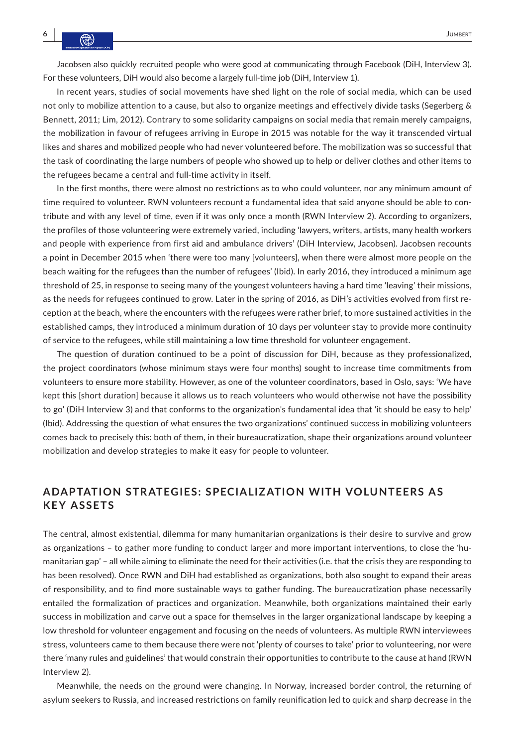Jacobsen also quickly recruited people who were good at communicating through Facebook (DiH, Interview 3). For these volunteers, DiH would also become a largely full-time job (DiH, Interview 1).

In recent years, studies of social movements have shed light on the role of social media, which can be used not only to mobilize attention to a cause, but also to organize meetings and effectively divide tasks (Segerberg & Bennett, 2011; Lim, 2012). Contrary to some solidarity campaigns on social media that remain merely campaigns, the mobilization in favour of refugees arriving in Europe in 2015 was notable for the way it transcended virtual likes and shares and mobilized people who had never volunteered before. The mobilization was so successful that the task of coordinating the large numbers of people who showed up to help or deliver clothes and other items to the refugees became a central and full-time activity in itself.

In the first months, there were almost no restrictions as to who could volunteer, nor any minimum amount of time required to volunteer. RWN volunteers recount a fundamental idea that said anyone should be able to contribute and with any level of time, even if it was only once a month (RWN Interview 2). According to organizers, the profiles of those volunteering were extremely varied, including 'lawyers, writers, artists, many health workers and people with experience from first aid and ambulance drivers' (DiH Interview, Jacobsen). Jacobsen recounts a point in December 2015 when 'there were too many [volunteers], when there were almost more people on the beach waiting for the refugees than the number of refugees' (Ibid). In early 2016, they introduced a minimum age threshold of 25, in response to seeing many of the youngest volunteers having a hard time 'leaving' their missions, as the needs for refugees continued to grow. Later in the spring of 2016, as DiH's activities evolved from first reception at the beach, where the encounters with the refugees were rather brief, to more sustained activities in the established camps, they introduced a minimum duration of 10 days per volunteer stay to provide more continuity of service to the refugees, while still maintaining a low time threshold for volunteer engagement.

The question of duration continued to be a point of discussion for DiH, because as they professionalized, the project coordinators (whose minimum stays were four months) sought to increase time commitments from volunteers to ensure more stability. However, as one of the volunteer coordinators, based in Oslo, says: 'We have kept this [short duration] because it allows us to reach volunteers who would otherwise not have the possibility to go' (DiH Interview 3) and that conforms to the organization's fundamental idea that 'it should be easy to help' (Ibid). Addressing the question of what ensures the two organizations' continued success in mobilizing volunteers comes back to precisely this: both of them, in their bureaucratization, shape their organizations around volunteer mobilization and develop strategies to make it easy for people to volunteer.

# **ADAPTATION STR ATEGIES: SPECIALIZ ATION WITH VOLUNTEERS A S KEY ASSETS**

The central, almost existential, dilemma for many humanitarian organizations is their desire to survive and grow as organizations – to gather more funding to conduct larger and more important interventions, to close the 'humanitarian gap' – all while aiming to eliminate the need for their activities (i.e. that the crisis they are responding to has been resolved). Once RWN and DiH had established as organizations, both also sought to expand their areas of responsibility, and to find more sustainable ways to gather funding. The bureaucratization phase necessarily entailed the formalization of practices and organization. Meanwhile, both organizations maintained their early success in mobilization and carve out a space for themselves in the larger organizational landscape by keeping a low threshold for volunteer engagement and focusing on the needs of volunteers. As multiple RWN interviewees stress, volunteers came to them because there were not 'plenty of courses to take' prior to volunteering, nor were there 'many rules and guidelines' that would constrain their opportunities to contribute to the cause at hand (RWN Interview 2).

Meanwhile, the needs on the ground were changing. In Norway, increased border control, the returning of asylum seekers to Russia, and increased restrictions on family reunification led to quick and sharp decrease in the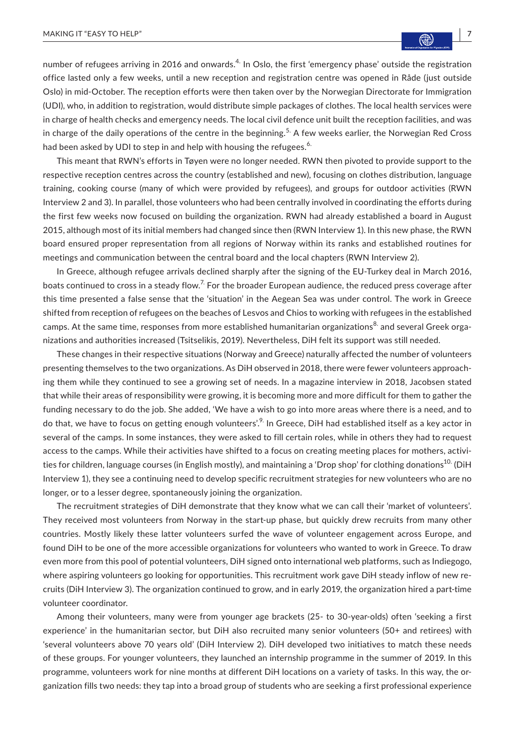number of refugees arriving in 2016 and onwards.<sup>4.</sup> In Oslo, the first 'emergency phase' outside the registration office lasted only a few weeks, until a new reception and registration centre was opened in Råde (just outside Oslo) in mid-October. The reception efforts were then taken over by the Norwegian Directorate for Immigration (UDI), who, in addition to registration, would distribute simple packages of clothes. The local health services were in charge of health checks and emergency needs. The local civil defence unit built the reception facilities, and was in charge of the daily operations of the centre in the beginning.<sup>5.</sup> A few weeks earlier, the Norwegian Red Cross had been asked by UDI to step in and help with housing the refugees.<sup>6.</sup>

This meant that RWN's efforts in Tøyen were no longer needed. RWN then pivoted to provide support to the respective reception centres across the country (established and new), focusing on clothes distribution, language training, cooking course (many of which were provided by refugees), and groups for outdoor activities (RWN Interview 2 and 3). In parallel, those volunteers who had been centrally involved in coordinating the efforts during the first few weeks now focused on building the organization. RWN had already established a board in August 2015, although most of its initial members had changed since then (RWN Interview 1). In this new phase, the RWN board ensured proper representation from all regions of Norway within its ranks and established routines for meetings and communication between the central board and the local chapters (RWN Interview 2).

In Greece, although refugee arrivals declined sharply after the signing of the EU-Turkey deal in March 2016, boats continued to cross in a steady flow.<sup>7</sup>. For the broader European audience, the reduced press coverage after this time presented a false sense that the 'situation' in the Aegean Sea was under control. The work in Greece shifted from reception of refugees on the beaches of Lesvos and Chios to working with refugees in the established camps. At the same time, responses from more established humanitarian organizations $^{8}$  and several Greek organizations and authorities increased (Tsitselikis, 2019). Nevertheless, DiH felt its support was still needed.

These changes in their respective situations (Norway and Greece) naturally affected the number of volunteers presenting themselves to the two organizations. As DiH observed in 2018, there were fewer volunteers approaching them while they continued to see a growing set of needs. In a magazine interview in 2018, Jacobsen stated that while their areas of responsibility were growing, it is becoming more and more difficult for them to gather the funding necessary to do the job. She added, 'We have a wish to go into more areas where there is a need, and to do that, we have to focus on getting enough volunteers'.<sup>9</sup>. In Greece, DiH had established itself as a key actor in several of the camps. In some instances, they were asked to fill certain roles, while in others they had to request access to the camps. While their activities have shifted to a focus on creating meeting places for mothers, activities for children, language courses (in English mostly), and maintaining a 'Drop shop' for clothing donations<sup>10.</sup> (DiH Interview 1), they see a continuing need to develop specific recruitment strategies for new volunteers who are no longer, or to a lesser degree, spontaneously joining the organization.

The recruitment strategies of DiH demonstrate that they know what we can call their 'market of volunteers'. They received most volunteers from Norway in the start-up phase, but quickly drew recruits from many other countries. Mostly likely these latter volunteers surfed the wave of volunteer engagement across Europe, and found DiH to be one of the more accessible organizations for volunteers who wanted to work in Greece. To draw even more from this pool of potential volunteers, DiH signed onto international web platforms, such as Indiegogo, where aspiring volunteers go looking for opportunities. This recruitment work gave DiH steady inflow of new recruits (DiH Interview 3). The organization continued to grow, and in early 2019, the organization hired a part-time volunteer coordinator.

Among their volunteers, many were from younger age brackets (25- to 30-year-olds) often 'seeking a first experience' in the humanitarian sector, but DiH also recruited many senior volunteers (50+ and retirees) with 'several volunteers above 70 years old' (DiH Interview 2). DiH developed two initiatives to match these needs of these groups. For younger volunteers, they launched an internship programme in the summer of 2019. In this programme, volunteers work for nine months at different DiH locations on a variety of tasks. In this way, the organization fills two needs: they tap into a broad group of students who are seeking a first professional experience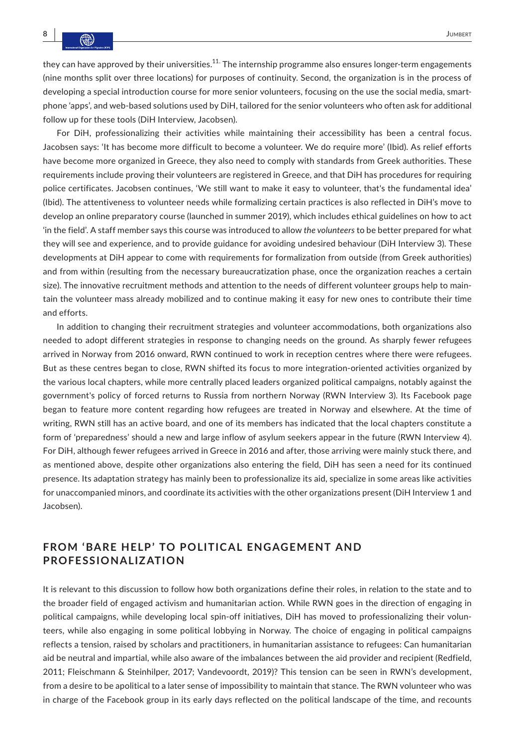they can have approved by their universities.<sup>11.</sup> The internship programme also ensures longer-term engagements (nine months split over three locations) for purposes of continuity. Second, the organization is in the process of developing a special introduction course for more senior volunteers, focusing on the use the social media, smartphone 'apps', and web-based solutions used by DiH, tailored for the senior volunteers who often ask for additional follow up for these tools (DiH Interview, Jacobsen).

For DiH, professionalizing their activities while maintaining their accessibility has been a central focus. Jacobsen says: 'It has become more difficult to become a volunteer. We do require more' (Ibid). As relief efforts have become more organized in Greece, they also need to comply with standards from Greek authorities. These requirements include proving their volunteers are registered in Greece, and that DiH has procedures for requiring police certificates. Jacobsen continues, 'We still want to make it easy to volunteer, that's the fundamental idea' (Ibid). The attentiveness to volunteer needs while formalizing certain practices is also reflected in DiH's move to develop an online preparatory course (launched in summer 2019), which includes ethical guidelines on how to act 'in the field'. A staff member says this course was introduced to allow *the volunteers* to be better prepared for what they will see and experience, and to provide guidance for avoiding undesired behaviour (DiH Interview 3). These developments at DiH appear to come with requirements for formalization from outside (from Greek authorities) and from within (resulting from the necessary bureaucratization phase, once the organization reaches a certain size). The innovative recruitment methods and attention to the needs of different volunteer groups help to maintain the volunteer mass already mobilized and to continue making it easy for new ones to contribute their time and efforts.

In addition to changing their recruitment strategies and volunteer accommodations, both organizations also needed to adopt different strategies in response to changing needs on the ground. As sharply fewer refugees arrived in Norway from 2016 onward, RWN continued to work in reception centres where there were refugees. But as these centres began to close, RWN shifted its focus to more integration-oriented activities organized by the various local chapters, while more centrally placed leaders organized political campaigns, notably against the government's policy of forced returns to Russia from northern Norway (RWN Interview 3). Its Facebook page began to feature more content regarding how refugees are treated in Norway and elsewhere. At the time of writing, RWN still has an active board, and one of its members has indicated that the local chapters constitute a form of 'preparedness' should a new and large inflow of asylum seekers appear in the future (RWN Interview 4). For DiH, although fewer refugees arrived in Greece in 2016 and after, those arriving were mainly stuck there, and as mentioned above, despite other organizations also entering the field, DiH has seen a need for its continued presence. Its adaptation strategy has mainly been to professionalize its aid, specialize in some areas like activities for unaccompanied minors, and coordinate its activities with the other organizations present (DiH Interview 1 and Jacobsen).

# FROM 'BARE HELP' TO POLITICAL ENGAGEMENT AND **PROFESSIONALIZATION**

It is relevant to this discussion to follow how both organizations define their roles, in relation to the state and to the broader field of engaged activism and humanitarian action. While RWN goes in the direction of engaging in political campaigns, while developing local spin-off initiatives, DiH has moved to professionalizing their volunteers, while also engaging in some political lobbying in Norway. The choice of engaging in political campaigns reflects a tension, raised by scholars and practitioners, in humanitarian assistance to refugees: Can humanitarian aid be neutral and impartial, while also aware of the imbalances between the aid provider and recipient (Redfield, 2011; Fleischmann & Steinhilper, 2017; Vandevoordt, 2019)? This tension can be seen in RWN's development, from a desire to be apolitical to a later sense of impossibility to maintain that stance. The RWN volunteer who was in charge of the Facebook group in its early days reflected on the political landscape of the time, and recounts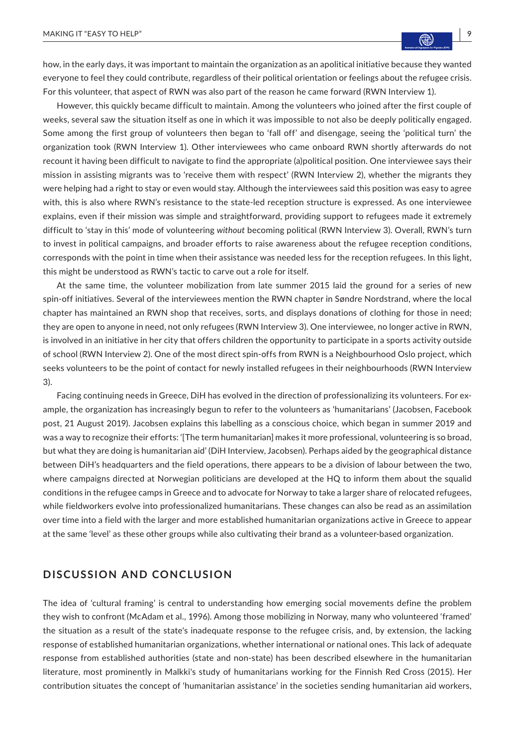how, in the early days, it was important to maintain the organization as an apolitical initiative because they wanted everyone to feel they could contribute, regardless of their political orientation or feelings about the refugee crisis. For this volunteer, that aspect of RWN was also part of the reason he came forward (RWN Interview 1).

However, this quickly became difficult to maintain. Among the volunteers who joined after the first couple of weeks, several saw the situation itself as one in which it was impossible to not also be deeply politically engaged. Some among the first group of volunteers then began to 'fall off' and disengage, seeing the 'political turn' the organization took (RWN Interview 1). Other interviewees who came onboard RWN shortly afterwards do not recount it having been difficult to navigate to find the appropriate (a)political position. One interviewee says their mission in assisting migrants was to 'receive them with respect' (RWN Interview 2), whether the migrants they were helping had a right to stay or even would stay. Although the interviewees said this position was easy to agree with, this is also where RWN's resistance to the state-led reception structure is expressed. As one interviewee explains, even if their mission was simple and straightforward, providing support to refugees made it extremely difficult to 'stay in this' mode of volunteering *without* becoming political (RWN Interview 3). Overall, RWN's turn to invest in political campaigns, and broader efforts to raise awareness about the refugee reception conditions, corresponds with the point in time when their assistance was needed less for the reception refugees. In this light, this might be understood as RWN's tactic to carve out a role for itself.

At the same time, the volunteer mobilization from late summer 2015 laid the ground for a series of new spin-off initiatives. Several of the interviewees mention the RWN chapter in Søndre Nordstrand, where the local chapter has maintained an RWN shop that receives, sorts, and displays donations of clothing for those in need; they are open to anyone in need, not only refugees (RWN Interview 3). One interviewee, no longer active in RWN, is involved in an initiative in her city that offers children the opportunity to participate in a sports activity outside of school (RWN Interview 2). One of the most direct spin-offs from RWN is a Neighbourhood Oslo project, which seeks volunteers to be the point of contact for newly installed refugees in their neighbourhoods (RWN Interview 3).

Facing continuing needs in Greece, DiH has evolved in the direction of professionalizing its volunteers. For example, the organization has increasingly begun to refer to the volunteers as 'humanitarians' (Jacobsen, Facebook post, 21 August 2019). Jacobsen explains this labelling as a conscious choice, which began in summer 2019 and was a way to recognize their efforts: '[The term humanitarian] makes it more professional, volunteering is so broad, but what they are doing is humanitarian aid' (DiH Interview, Jacobsen). Perhaps aided by the geographical distance between DiH's headquarters and the field operations, there appears to be a division of labour between the two, where campaigns directed at Norwegian politicians are developed at the HQ to inform them about the squalid conditions in the refugee camps in Greece and to advocate for Norway to take a larger share of relocated refugees, while fieldworkers evolve into professionalized humanitarians. These changes can also be read as an assimilation over time into a field with the larger and more established humanitarian organizations active in Greece to appear at the same 'level' as these other groups while also cultivating their brand as a volunteer-based organization.

### **DISCUSSION AND CONCLUSION**

The idea of 'cultural framing' is central to understanding how emerging social movements define the problem they wish to confront (McAdam et al., 1996). Among those mobilizing in Norway, many who volunteered 'framed' the situation as a result of the state's inadequate response to the refugee crisis, and, by extension, the lacking response of established humanitarian organizations, whether international or national ones. This lack of adequate response from established authorities (state and non-state) has been described elsewhere in the humanitarian literature, most prominently in Malkki's study of humanitarians working for the Finnish Red Cross (2015). Her contribution situates the concept of 'humanitarian assistance' in the societies sending humanitarian aid workers,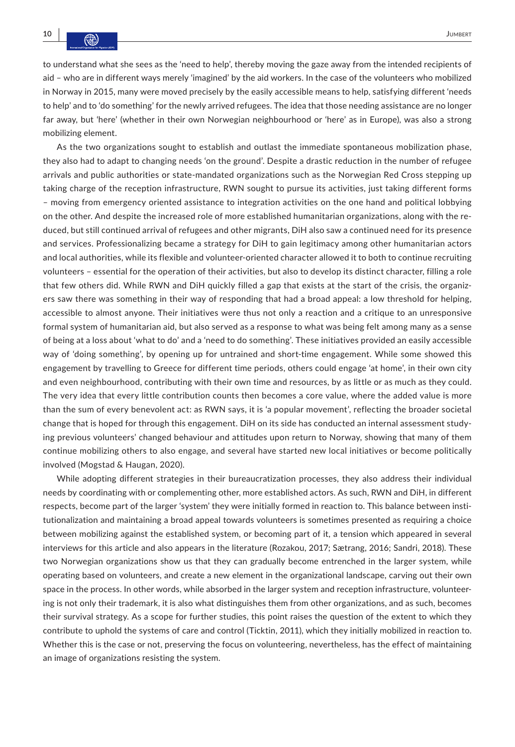to understand what she sees as the 'need to help', thereby moving the gaze away from the intended recipients of aid – who are in different ways merely 'imagined' by the aid workers. In the case of the volunteers who mobilized in Norway in 2015, many were moved precisely by the easily accessible means to help, satisfying different 'needs to help' and to 'do something' for the newly arrived refugees. The idea that those needing assistance are no longer far away, but 'here' (whether in their own Norwegian neighbourhood or 'here' as in Europe), was also a strong mobilizing element.

As the two organizations sought to establish and outlast the immediate spontaneous mobilization phase, they also had to adapt to changing needs 'on the ground'. Despite a drastic reduction in the number of refugee arrivals and public authorities or state-mandated organizations such as the Norwegian Red Cross stepping up taking charge of the reception infrastructure, RWN sought to pursue its activities, just taking different forms – moving from emergency oriented assistance to integration activities on the one hand and political lobbying on the other. And despite the increased role of more established humanitarian organizations, along with the reduced, but still continued arrival of refugees and other migrants, DiH also saw a continued need for its presence and services. Professionalizing became a strategy for DiH to gain legitimacy among other humanitarian actors and local authorities, while its flexible and volunteer-oriented character allowed it to both to continue recruiting volunteers – essential for the operation of their activities, but also to develop its distinct character, filling a role that few others did. While RWN and DiH quickly filled a gap that exists at the start of the crisis, the organizers saw there was something in their way of responding that had a broad appeal: a low threshold for helping, accessible to almost anyone. Their initiatives were thus not only a reaction and a critique to an unresponsive formal system of humanitarian aid, but also served as a response to what was being felt among many as a sense of being at a loss about 'what to do' and a 'need to do something'. These initiatives provided an easily accessible way of 'doing something', by opening up for untrained and short-time engagement. While some showed this engagement by travelling to Greece for different time periods, others could engage 'at home', in their own city and even neighbourhood, contributing with their own time and resources, by as little or as much as they could. The very idea that every little contribution counts then becomes a core value, where the added value is more than the sum of every benevolent act: as RWN says, it is 'a popular movement', reflecting the broader societal change that is hoped for through this engagement. DiH on its side has conducted an internal assessment studying previous volunteers' changed behaviour and attitudes upon return to Norway, showing that many of them continue mobilizing others to also engage, and several have started new local initiatives or become politically involved (Mogstad & Haugan, 2020).

While adopting different strategies in their bureaucratization processes, they also address their individual needs by coordinating with or complementing other, more established actors. As such, RWN and DiH, in different respects, become part of the larger 'system' they were initially formed in reaction to. This balance between institutionalization and maintaining a broad appeal towards volunteers is sometimes presented as requiring a choice between mobilizing against the established system, or becoming part of it, a tension which appeared in several interviews for this article and also appears in the literature (Rozakou, 2017; Sætrang, 2016; Sandri, 2018). These two Norwegian organizations show us that they can gradually become entrenched in the larger system, while operating based on volunteers, and create a new element in the organizational landscape, carving out their own space in the process. In other words, while absorbed in the larger system and reception infrastructure, volunteering is not only their trademark, it is also what distinguishes them from other organizations, and as such, becomes their survival strategy. As a scope for further studies, this point raises the question of the extent to which they contribute to uphold the systems of care and control (Ticktin, 2011), which they initially mobilized in reaction to. Whether this is the case or not, preserving the focus on volunteering, nevertheless, has the effect of maintaining an image of organizations resisting the system.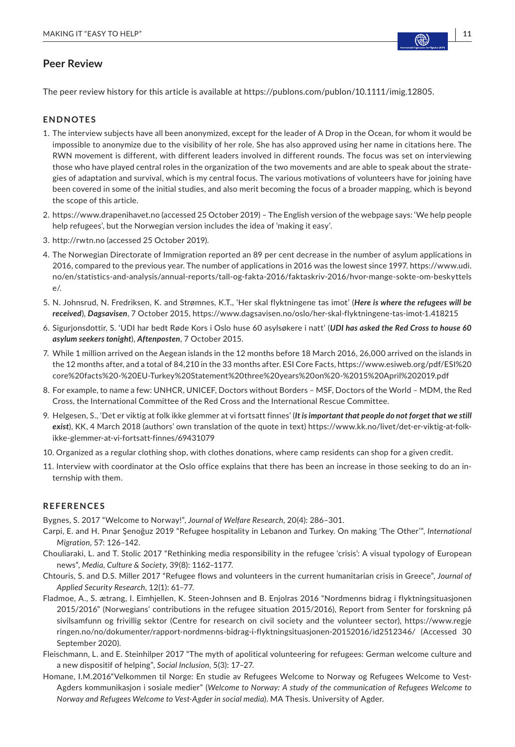# **Peer Review**

The peer review history for this article is available at <https://publons.com/publon/10.1111/imig.12805>.

#### **ENDNOTES**

- 1. The interview subjects have all been anonymized, except for the leader of A Drop in the Ocean, for whom it would be impossible to anonymize due to the visibility of her role. She has also approved using her name in citations here. The RWN movement is different, with different leaders involved in different rounds. The focus was set on interviewing those who have played central roles in the organization of the two movements and are able to speak about the strategies of adaptation and survival, which is my central focus. The various motivations of volunteers have for joining have been covered in some of the initial studies, and also merit becoming the focus of a broader mapping, which is beyond the scope of this article.
- 2. <https://www.drapenihavet.no>(accessed 25 October 2019) The English version of the webpage says: 'We help people help refugees', but the Norwegian version includes the idea of 'making it easy'.
- 3. <http://rwtn.no>(accessed 25 October 2019).
- 4. The Norwegian Directorate of Immigration reported an 89 per cent decrease in the number of asylum applications in 2016, compared to the previous year. The number of applications in 2016 was the lowest since 1997. [https://www.udi.](https://www.udi.no/en/statistics-and-analysis/annual-reports/tall-og-fakta-2016/faktaskriv-2016/hvor-mange-sokte-om-beskyttelse/) [no/en/statistics-and-analysis/annual-reports/tall-og-fakta-2016/faktaskriv-2016/hvor-mange-sokte-om-beskyttels](https://www.udi.no/en/statistics-and-analysis/annual-reports/tall-og-fakta-2016/faktaskriv-2016/hvor-mange-sokte-om-beskyttelse/) [e/](https://www.udi.no/en/statistics-and-analysis/annual-reports/tall-og-fakta-2016/faktaskriv-2016/hvor-mange-sokte-om-beskyttelse/).
- 5. N. Johnsrud, N. Fredriksen, K. and Strømnes, K.T., 'Her skal flyktningene tas imot' (*Here is where the refugees will be received*), *Dagsavisen*, 7 October 2015,<https://www.dagsavisen.no/oslo/her-skal-flyktningene-tas-imot-1.418215>
- 6. Sigurjonsdottir, S. 'UDI har bedt Røde Kors i Oslo huse 60 asylsøkere i natt' (*UDI has asked the Red Cross to house 60 asylum seekers tonight*), *Aftenposten*, 7 October 2015.
- 7. While 1 million arrived on the Aegean islands in the 12 months before 18 March 2016, 26,000 arrived on the islands in the 12 months after, and a total of 84,210 in the 33 months after. ESI Core Facts, [https://www.esiweb.org/pdf/ESI%20](https://www.esiweb.org/pdf/ESI core facts - EU-Turkey Statement three years on - 15 April 2019.pdf) [core%20facts%20-%20EU-Turkey%20Statement%20three%20years%20on%20-%2015%20April%202019.pdf](https://www.esiweb.org/pdf/ESI core facts - EU-Turkey Statement three years on - 15 April 2019.pdf)
- 8. For example, to name a few: UNHCR, UNICEF, Doctors without Borders MSF, Doctors of the World MDM, the Red Cross, the International Committee of the Red Cross and the International Rescue Committee.
- 9. Helgesen, S., 'Det er viktig at folk ikke glemmer at vi fortsatt finnes' (*It is important that people do not forget that we still exist*), KK, 4 March 2018 (authors' own translation of the quote in text) [https://www.kk.no/livet/det-er-viktig-at-folk](https://www.kk.no/livet/det-er-viktig-at-folk-ikke-glemmer-at-vi-fortsatt-finnes/69431079)[ikke-glemmer-at-vi-fortsatt-finnes/69431079](https://www.kk.no/livet/det-er-viktig-at-folk-ikke-glemmer-at-vi-fortsatt-finnes/69431079)
- 10. Organized as a regular clothing shop, with clothes donations, where camp residents can shop for a given credit.
- 11. Interview with coordinator at the Oslo office explains that there has been an increase in those seeking to do an internship with them.

### **REFERENCES**

Bygnes, S. 2017 "Welcome to Norway!", *Journal of Welfare Research*, 20(4): 286–301.

- Carpi, E. and H. Pınar Şenoğuz 2019 "Refugee hospitality in Lebanon and Turkey. On making 'The Other'", *International Migration*, 57: 126–142.
- Chouliaraki, L. and T. Stolic 2017 "Rethinking media responsibility in the refugee 'crisis': A visual typology of European news", *Media, Culture & Society*, 39(8): 1162–1177.
- Chtouris, S. and D.S. Miller 2017 "Refugee flows and volunteers in the current humanitarian crisis in Greece", *Journal of Applied Security Research*, 12(1): 61–77.
- Fladmoe, A., S. ætrang, I. Eimhjellen, K. Steen-Johnsen and B. Enjolras 2016 "Nordmenns bidrag i flyktningsituasjonen 2015/2016" (Norwegians' contributions in the refugee situation 2015/2016), Report from Senter for forskning på sivilsamfunn og frivillig sektor (Centre for research on civil society and the volunteer sector), [https://www.regje](https://www.regjeringen.no/no/dokumenter/rapport-nordmenns-bidrag-i-flyktningsituasjonen-20152016/id2512346/) [ringen.no/no/dokumenter/rapport-nordmenns-bidrag-i-flyktningsituasjonen-20152016/id2512346/](https://www.regjeringen.no/no/dokumenter/rapport-nordmenns-bidrag-i-flyktningsituasjonen-20152016/id2512346/) (Accessed 30 September 2020).
- Fleischmann, L. and E. Steinhilper 2017 "The myth of apolitical volunteering for refugees: German welcome culture and a new dispositif of helping", *Social Inclusion*, 5(3): 17–27.
- Homane, I.M.2016"Velkommen til Norge: En studie av Refugees Welcome to Norway og Refugees Welcome to Vest-Agders kommunikasjon i sosiale medier" (*Welcome to Norway: A study of the communication of Refugees Welcome to Norway and Refugees Welcome to Vest-Agder in social media*). MA Thesis. University of Agder.